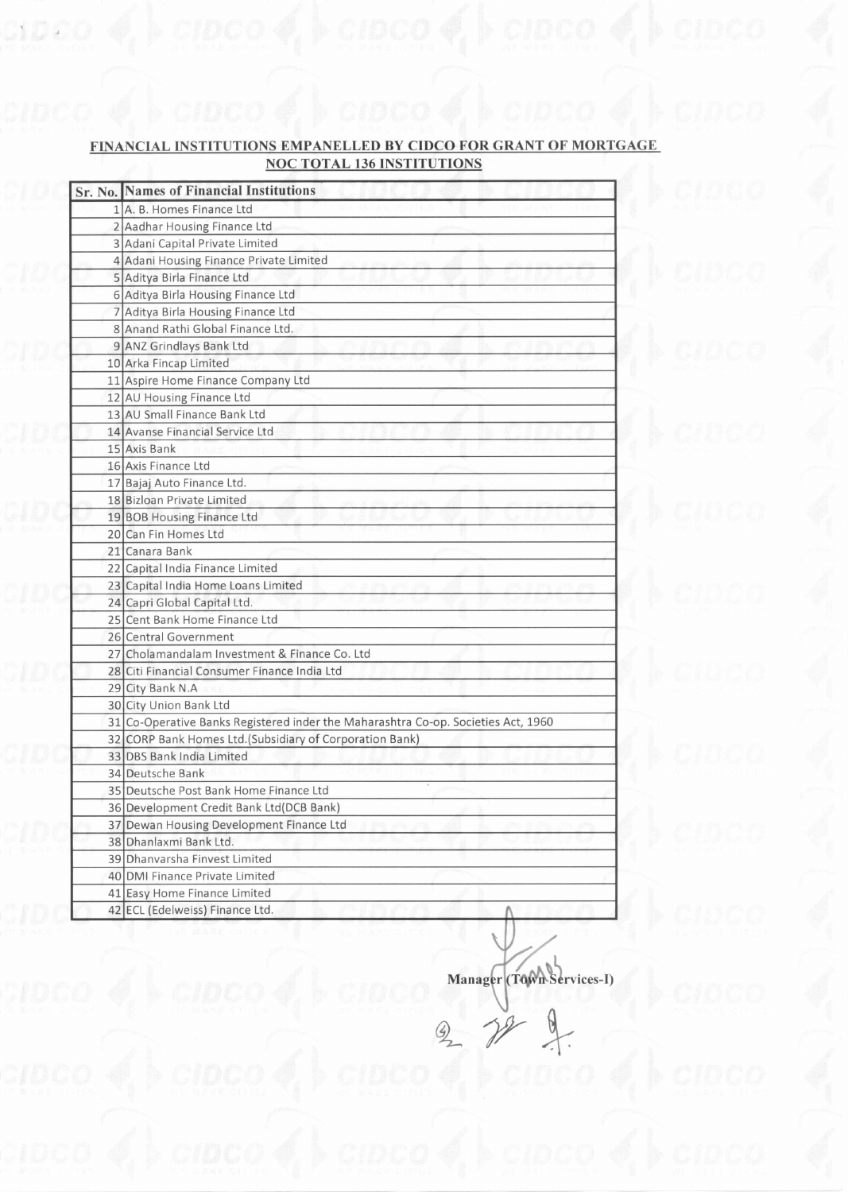## FINANCIAL INSTITUTIONS EMPANELLED BY CIDCO FOR GRANT OF MORTGAGE NOC TOTAL 136 INSTITUTIONS

 $\text{C}$ ndoo $\ket{\phi}$  is  $\ket{\text{C}$ ldoo $\ket{\phi}$  is  $\ket{\text{C}$ ldoo $\ket{\phi}$ 

|  | <b>Sr. No. Names of Financial Institutions</b>                                    |
|--|-----------------------------------------------------------------------------------|
|  | 1 A. B. Homes Finance Ltd                                                         |
|  | 2 Aadhar Housing Finance Ltd                                                      |
|  | 3 Adani Capital Private Limited                                                   |
|  | 4 Adani Housing Finance Private Limited                                           |
|  | 5 Aditya Birla Finance Ltd                                                        |
|  | 6 Aditya Birla Housing Finance Ltd                                                |
|  | 7 Aditya Birla Housing Finance Ltd                                                |
|  | 8 Anand Rathi Global Finance Ltd.                                                 |
|  | 9 ANZ Grindlays Bank Ltd                                                          |
|  | 10 Arka Fincap Limited                                                            |
|  | 11 Aspire Home Finance Company Ltd                                                |
|  | 12 AU Housing Finance Ltd                                                         |
|  | 13 AU Small Finance Bank Ltd                                                      |
|  | 14 Avanse Financial Service Ltd                                                   |
|  | 15 Axis Bank                                                                      |
|  | 16 Axis Finance Ltd                                                               |
|  | 17 Bajaj Auto Finance Ltd.                                                        |
|  | 18 Bizloan Private Limited                                                        |
|  | 19 BOB Housing Finance Ltd                                                        |
|  | 20 Can Fin Homes Ltd                                                              |
|  | 21 Canara Bank                                                                    |
|  | 22 Capital India Finance Limited                                                  |
|  | 23 Capital India Home Loans Limited                                               |
|  | 24 Capri Global Capital Ltd.                                                      |
|  | 25 Cent Bank Home Finance Ltd                                                     |
|  | 26 Central Government                                                             |
|  | 27 Cholamandalam Investment & Finance Co. Ltd                                     |
|  | 28 Citi Financial Consumer Finance India Ltd                                      |
|  | 29 City Bank N.A                                                                  |
|  | 30 City Union Bank Ltd                                                            |
|  | 31 Co-Operative Banks Registered inder the Maharashtra Co-op. Societies Act, 1960 |
|  | 32 CORP Bank Homes Ltd. (Subsidiary of Corporation Bank)                          |
|  | 33 DBS Bank India Limited                                                         |
|  | 34 Deutsche Bank                                                                  |
|  | 35 Deutsche Post Bank Home Finance Ltd                                            |
|  | 36 Development Credit Bank Ltd (DCB Bank)                                         |
|  | 37 Dewan Housing Development Finance Ltd                                          |
|  | 38 Dhanlaxmi Bank Ltd.                                                            |
|  | 39 Dhanvarsha Finvest Limited                                                     |
|  | 40 DMI Finance Private Limited                                                    |
|  | 41 Easy Home Finance Limited                                                      |
|  | 42 ECL (Edelweiss) Finance Ltd.<br>Λ                                              |

Manager (Town Services-I)  $\frac{d}{dt}$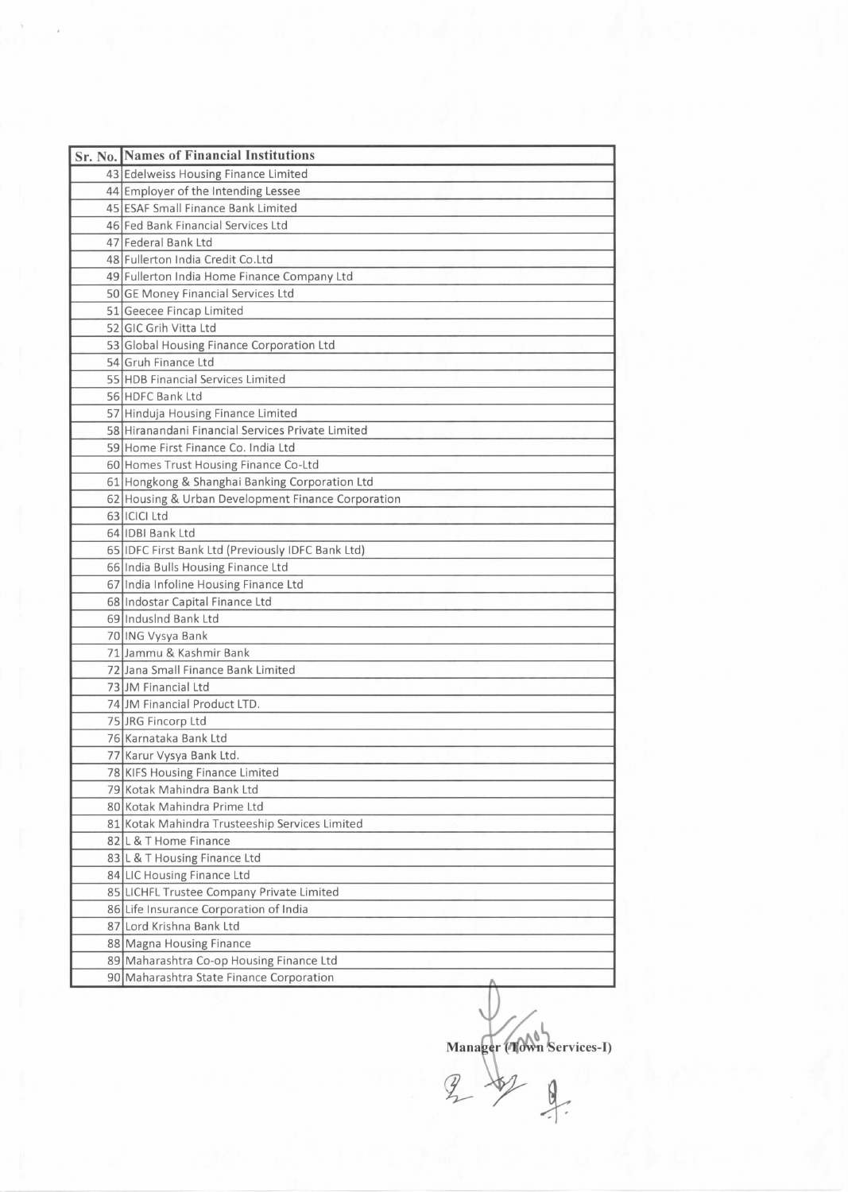| Sr. No. Names of Financial Institutions            |
|----------------------------------------------------|
| 43 Edelweiss Housing Finance Limited               |
| 44 Employer of the Intending Lessee                |
| 45 ESAF Small Finance Bank Limited                 |
| 46 Fed Bank Financial Services Ltd                 |
| 47 Federal Bank Ltd                                |
| 48 Fullerton India Credit Co.Ltd                   |
| 49 Fullerton India Home Finance Company Ltd        |
| 50 GE Money Financial Services Ltd                 |
| 51 Geecee Fincap Limited                           |
| 52 GIC Grih Vitta Ltd                              |
| 53 Global Housing Finance Corporation Ltd          |
| 54 Gruh Finance Ltd                                |
| 55 HDB Financial Services Limited                  |
| 56 HDFC Bank Ltd                                   |
| 57 Hinduja Housing Finance Limited                 |
| 58 Hiranandani Financial Services Private Limited  |
| 59 Home First Finance Co. India Ltd                |
| 60 Homes Trust Housing Finance Co-Ltd              |
| 61 Hongkong & Shanghai Banking Corporation Ltd     |
| 62 Housing & Urban Development Finance Corporation |
| 63 ICICI Ltd                                       |
| 64 IDBI Bank Ltd                                   |
| 65 IDFC First Bank Ltd (Previously IDFC Bank Ltd)  |
| 66 India Bulls Housing Finance Ltd                 |
| 67 India Infoline Housing Finance Ltd              |
| 68 Indostar Capital Finance Ltd                    |
| 69 Indusind Bank Ltd                               |
| 70 ING Vysya Bank                                  |
| 71 Jammu & Kashmir Bank                            |
| 72 Jana Small Finance Bank Limited                 |
| 73 JM Financial Ltd                                |
| 74 JM Financial Product LTD.                       |
| 75 JRG Fincorp Ltd                                 |
| 76 Karnataka Bank Ltd                              |
| 77 Karur Vysya Bank Ltd.                           |
| 78 KIFS Housing Finance Limited                    |
| 79 Kotak Mahindra Bank Ltd                         |
| 80 Kotak Mahindra Prime Ltd                        |
| 81 Kotak Mahindra Trusteeship Services Limited     |
| 82 L & T Home Finance                              |
| 83 L & T Housing Finance Ltd                       |
| 84 LIC Housing Finance Ltd                         |
| 85 LICHFL Trustee Company Private Limited          |
| 86 Life Insurance Corporation of India             |
| 87 Lord Krishna Bank Ltd                           |
| 88 Magna Housing Finance                           |
| 89 Maharashtra Co-op Housing Finance Ltd           |
| 90 Maharashtra State Finance Corporation           |

Manager (Mown Services-I)